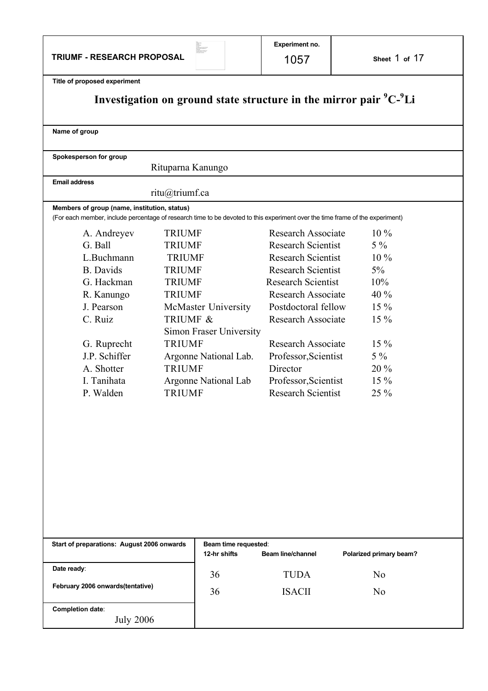**TRIUMF - RESEARCH PROPOSAL**

 $\begin{tabular}{l|c|c|c} \hline \textbf{Na} & \textbf{Na} & \textbf{Na} \\ \hline \textbf{Na} & \textbf{Na} & \textbf{Na} \\ \hline \textbf{Na} & \textbf{Na} & \textbf{Na} \\ \hline \textbf{Na} & \textbf{Na} & \textbf{Na} \\ \hline \textbf{Na} & \textbf{Na} & \textbf{Na} & \textbf{Na} \\ \hline \textbf{Na} & \textbf{Na} & \textbf{Na} & \textbf{Na} & \textbf{Na} \\ \hline \textbf{Na} & \textbf{Na} & \textbf{Na} & \textbf{Na} & \textbf{Na} \\ \hline$ 

1057 **Sheet** 1 **of** 17

|  |  | Title of proposed experiment |  |
|--|--|------------------------------|--|

| Title of proposed experiment<br>Investigation on ground state structure in the mirror pair <sup>9</sup> C- <sup>9</sup> Li                                                              |                                                                                                                                                                                                                                                                             |                                                                                                                                                                                                                                                                                                                                                      |                                                                                                                |
|-----------------------------------------------------------------------------------------------------------------------------------------------------------------------------------------|-----------------------------------------------------------------------------------------------------------------------------------------------------------------------------------------------------------------------------------------------------------------------------|------------------------------------------------------------------------------------------------------------------------------------------------------------------------------------------------------------------------------------------------------------------------------------------------------------------------------------------------------|----------------------------------------------------------------------------------------------------------------|
| Name of group                                                                                                                                                                           |                                                                                                                                                                                                                                                                             |                                                                                                                                                                                                                                                                                                                                                      |                                                                                                                |
| Spokesperson for group                                                                                                                                                                  | Rituparna Kanungo                                                                                                                                                                                                                                                           |                                                                                                                                                                                                                                                                                                                                                      |                                                                                                                |
| <b>Email address</b><br>ritu@triumf.ca                                                                                                                                                  |                                                                                                                                                                                                                                                                             |                                                                                                                                                                                                                                                                                                                                                      |                                                                                                                |
| Members of group (name, institution, status)<br>(For each member, include percentage of research time to be devoted to this experiment over the time frame of the experiment)           |                                                                                                                                                                                                                                                                             |                                                                                                                                                                                                                                                                                                                                                      |                                                                                                                |
| A. Andreyev<br>G. Ball<br>L.Buchmann<br><b>B.</b> Davids<br>G. Hackman<br>R. Kanungo<br>J. Pearson<br>C. Ruiz<br>G. Ruprecht<br>J.P. Schiffer<br>A. Shotter<br>I. Tanihata<br>P. Walden | <b>TRIUMF</b><br><b>TRIUMF</b><br><b>TRIUMF</b><br><b>TRIUMF</b><br><b>TRIUMF</b><br><b>TRIUMF</b><br>McMaster University<br>TRIUMF &<br>Simon Fraser University<br><b>TRIUMF</b><br>Argonne National Lab.<br><b>TRIUMF</b><br><b>Argonne National Lab</b><br><b>TRIUMF</b> | <b>Research Associate</b><br><b>Research Scientist</b><br><b>Research Scientist</b><br><b>Research Scientist</b><br><b>Research Scientist</b><br><b>Research Associate</b><br>Postdoctoral fellow<br><b>Research Associate</b><br><b>Research Associate</b><br>Professor, Scientist<br>Director<br>Professor, Scientist<br><b>Research Scientist</b> | $10\%$<br>$5\%$<br>10 %<br>$5\%$<br>10%<br>40 %<br>$15\%$<br>15 %<br>$15\%$<br>$5\%$<br>20 %<br>$15\%$<br>25 % |
| Start of preparations: August 2006 onwards                                                                                                                                              | Beam time requested:<br>12-hr shifts                                                                                                                                                                                                                                        | <b>Beam line/channel</b>                                                                                                                                                                                                                                                                                                                             | Polarized primary beam?                                                                                        |
| Date ready:<br>February 2006 onwards(tentative)                                                                                                                                         | 36<br>36                                                                                                                                                                                                                                                                    | <b>TUDA</b><br><b>ISACII</b>                                                                                                                                                                                                                                                                                                                         | No<br>N <sub>0</sub>                                                                                           |
| Completion date:<br><b>July 2006</b>                                                                                                                                                    |                                                                                                                                                                                                                                                                             |                                                                                                                                                                                                                                                                                                                                                      |                                                                                                                |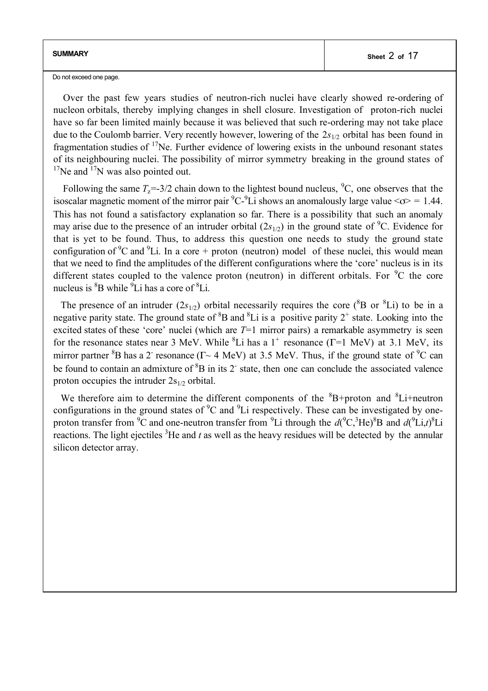Do not exceed one page.

Over the past few years studies of neutron-rich nuclei have clearly showed re-ordering of nucleon orbitals, thereby implying changes in shell closure. Investigation of proton-rich nuclei have so far been limited mainly because it was believed that such re-ordering may not take place due to the Coulomb barrier. Very recently however, lowering of the 2*s*1/2 orbital has been found in fragmentation studies of  $17$ Ne. Further evidence of lowering exists in the unbound resonant states of its neighbouring nuclei. The possibility of mirror symmetry breaking in the ground states of  $17$ Ne and  $17$ N was also pointed out.

Following the same  $T_z = 3/2$  chain down to the lightest bound nucleus, <sup>9</sup>C, one observes that the isoscalar magnetic moment of the mirror pair  ${}^{9}C_{2}{}^{9}Li$  shows an anomalously large value  $\langle \sigma \rangle = 1.44$ . This has not found a satisfactory explanation so far. There is a possibility that such an anomaly may arise due to the presence of an intruder orbital  $(2s_{1/2})$  in the ground state of <sup>9</sup>C. Evidence for that is yet to be found. Thus, to address this question one needs to study the ground state configuration of  ${}^{9}C$  and  ${}^{9}Li$ . In a core + proton (neutron) model of these nuclei, this would mean that we need to find the amplitudes of the different configurations where the 'core' nucleus is in its different states coupled to the valence proton (neutron) in different orbitals. For  ${}^{9}C$  the core nucleus is <sup>8</sup>B while <sup>9</sup>Li has a core of <sup>8</sup>Li.

The presence of an intruder  $(2s_{1/2})$  orbital necessarily requires the core ( ${}^{8}B$  or  ${}^{8}Li$ ) to be in a negative parity state. The ground state of  ${}^{8}B$  and  ${}^{8}Li$  is a positive parity  $2^{+}$  state. Looking into the excited states of these 'core' nuclei (which are  $T=1$  mirror pairs) a remarkable asymmetry is seen for the resonance states near 3 MeV. While  ${}^{8}$ Li has a 1<sup>+</sup> resonance (Γ=1 MeV) at 3.1 MeV, its mirror partner  ${}^{8}B$  has a 2<sup>-</sup> resonance ( $\Gamma \sim 4 \text{ MeV}$ ) at 3.5 MeV. Thus, if the ground state of  ${}^{9}C$  can be found to contain an admixture of  ${}^{8}B$  in its 2 state, then one can conclude the associated valence proton occupies the intruder  $2s_{1/2}$  orbital.

We therefore aim to determine the different components of the  ${}^{8}B+$ proton and  ${}^{8}Li+$ neutron configurations in the ground states of  ${}^{9}C$  and  ${}^{9}Li$  respectively. These can be investigated by oneproton transfer from <sup>9</sup>C and one-neutron transfer from <sup>9</sup>Li through the  $d(^{9}C, ^{3}He)^{8}B$  and  $d(^{9}Li, t)^{8}Li$ reactions. The light ejectiles <sup>3</sup>He and *t* as well as the heavy residues will be detected by the annular silicon detector array.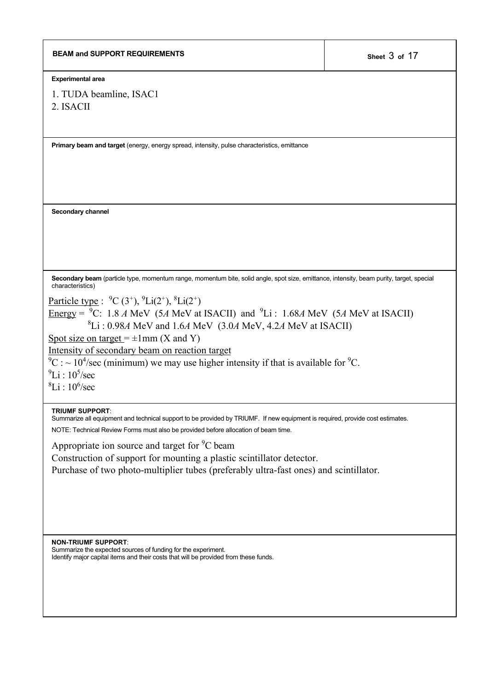| <b>BEAM and SUPPORT REQUIREMENTS</b>                                                                                                                                                                                                                                                                    | Sheet 3 of 17 |
|---------------------------------------------------------------------------------------------------------------------------------------------------------------------------------------------------------------------------------------------------------------------------------------------------------|---------------|
| <b>Experimental area</b>                                                                                                                                                                                                                                                                                |               |
| 1. TUDA beamline, ISAC1<br>2. ISACII                                                                                                                                                                                                                                                                    |               |
| Primary beam and target (energy, energy spread, intensity, pulse characteristics, emittance                                                                                                                                                                                                             |               |
|                                                                                                                                                                                                                                                                                                         |               |
| Secondary channel                                                                                                                                                                                                                                                                                       |               |
| Secondary beam (particle type, momentum range, momentum bite, solid angle, spot size, emittance, intensity, beam purity, target, special<br>characteristics)                                                                                                                                            |               |
| <u>Particle type</u> : $^{9}C(3^{+})$ , $^{9}Li(2^{+})$ , $^{8}Li(2^{+})$<br><u>Energy</u> = $^9C$ : 1.8 A MeV (5A MeV at ISACII) and <sup>9</sup> Li : 1.68A MeV (5A MeV at ISACII)<br>${}^{8}Li$ : 0.98A MeV and 1.6A MeV (3.0A MeV, 4.2A MeV at ISACII)<br>Spot size on target = $\pm$ 1mm (X and Y) |               |
| Intensity of secondary beam on reaction target<br>${}^{9}C$ : ~10 <sup>4</sup> /sec (minimum) we may use higher intensity if that is available for <sup>9</sup> C.<br>$^{9}$ Li : 10 <sup>5</sup> /sec<br>${}^{8}Li : 10^{6}/sec$                                                                       |               |
| <b>TRIUMF SUPPORT:</b><br>Summarize all equipment and technical support to be provided by TRIUMF. If new equipment is required, provide cost estimates.<br>NOTE: Technical Review Forms must also be provided before allocation of beam time.                                                           |               |
| Appropriate ion source and target for <sup>9</sup> C beam                                                                                                                                                                                                                                               |               |
| Construction of support for mounting a plastic scintillator detector.<br>Purchase of two photo-multiplier tubes (preferably ultra-fast ones) and scintillator.                                                                                                                                          |               |
|                                                                                                                                                                                                                                                                                                         |               |
| <b>NON-TRIUMF SUPPORT:</b><br>Summarize the expected sources of funding for the experiment.<br>Identify major capital items and their costs that will be provided from these funds.                                                                                                                     |               |
|                                                                                                                                                                                                                                                                                                         |               |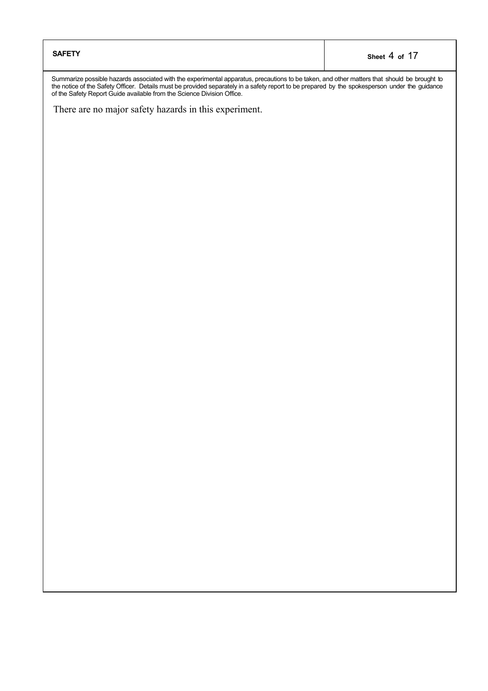| <b>SAFETY</b> | Sheet 4 of 17 |
|---------------|---------------|
|---------------|---------------|

Summarize possible hazards associated with the experimental apparatus, precautions to be taken, and other matters that should be brought to the notice of the Safety Officer. Details must be provided separately in a safety report to be prepared by the spokesperson under the guidance of the Safety Report Guide available from the Science Division Office.

There are no major safety hazards in this experiment.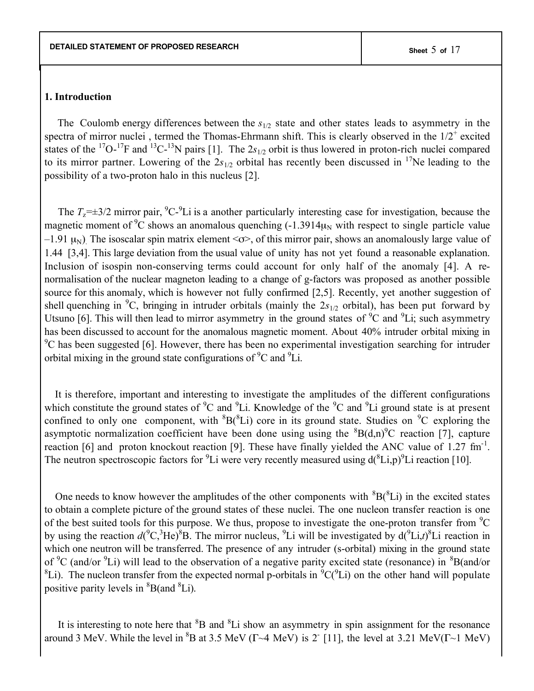#### **1. Introduction**

The Coulomb energy differences between the  $s_{1/2}$  state and other states leads to asymmetry in the spectra of mirror nuclei, termed the Thomas-Ehrmann shift. This is clearly observed in the  $1/2^+$  excited states of the <sup>17</sup>O-<sup>17</sup>F and <sup>13</sup>C-<sup>13</sup>N pairs [1]. The 2s<sub>1/2</sub> orbit is thus lowered in proton-rich nuclei compared to its mirror partner. Lowering of the  $2s_{1/2}$  orbital has recently been discussed in <sup>17</sup>Ne leading to the possibility of a two-proton halo in this nucleus [2].

The  $T_z = \pm 3/2$  mirror pair, <sup>9</sup>C-<sup>9</sup>Li is a another particularly interesting case for investigation, because the magnetic moment of <sup>9</sup>C shows an anomalous quenching  $(-1.3914\mu_N$  with respect to single particle value –1.91  $\mu$ <sub>N</sub>). The isoscalar spin matrix element <σ>, of this mirror pair, shows an anomalously large value of 1.44 [3,4]. This large deviation from the usual value of unity has not yet found a reasonable explanation. Inclusion of isospin non-conserving terms could account for only half of the anomaly [4]. A renormalisation of the nuclear magneton leading to a change of g-factors was proposed as another possible source for this anomaly, which is however not fully confirmed [2,5]. Recently, yet another suggestion of shell quenching in <sup>9</sup>C, bringing in intruder orbitals (mainly the 2s<sub>1/2</sub> orbital), has been put forward by Utsuno [6]. This will then lead to mirror asymmetry in the ground states of  $^9C$  and  $^9Li$ ; such asymmetry has been discussed to account for the anomalous magnetic moment. About 40% intruder orbital mixing in <sup>9</sup>C has been suggested [6]. However, there has been no experimental investigation searching for intruder orbital mixing in the ground state configurations of  ${}^{9}C$  and  ${}^{9}Li$ .

It is therefore, important and interesting to investigate the amplitudes of the different configurations which constitute the ground states of  ${}^{9}C$  and  ${}^{9}Li$ . Knowledge of the  ${}^{9}C$  and  ${}^{9}Li$  ground state is at present confined to only one component, with  ${}^{8}B(^{8}Li)$  core in its ground state. Studies on  ${}^{9}C$  exploring the asymptotic normalization coefficient have been done using using the  ${}^{8}B(d,n)^{9}C$  reaction [7], capture reaction [6] and proton knockout reaction [9]. These have finally yielded the ANC value of 1.27 fm<sup>-1</sup>. The neutron spectroscopic factors for <sup>9</sup>Li were very recently measured using  $d(^{8}Li,p)^{9}Li$  reaction [10].

One needs to know however the amplitudes of the other components with  ${}^{8}B(^{8}Li)$  in the excited states to obtain a complete picture of the ground states of these nuclei. The one nucleon transfer reaction is one of the best suited tools for this purpose. We thus, propose to investigate the one-proton transfer from  $^9C$ by using the reaction  $d({}^9C, {}^3He)^8B$ . The mirror nucleus, <sup>9</sup>Li will be investigated by  $d({}^9Li,t){}^8Li$  reaction in which one neutron will be transferred. The presence of any intruder (s-orbital) mixing in the ground state of <sup>9</sup>C (and/or <sup>9</sup>Li) will lead to the observation of a negative parity excited state (resonance) in <sup>8</sup>B(and/or <sup>8</sup>Li). The nucleon transfer from the expected normal p-orbitals in  ${}^{9}C(^{9}Li)$  on the other hand will populate positive parity levels in  ${}^{8}B$ (and  ${}^{8}Li$ ).

It is interesting to note here that <sup>8</sup>B and <sup>8</sup>Li show an asymmetry in spin assignment for the resonance around 3 MeV. While the level in <sup>8</sup>B at 3.5 MeV ( $\Gamma \sim 4$  MeV) is 2<sup>-</sup> [11], the level at 3.21 MeV( $\Gamma \sim 1$  MeV)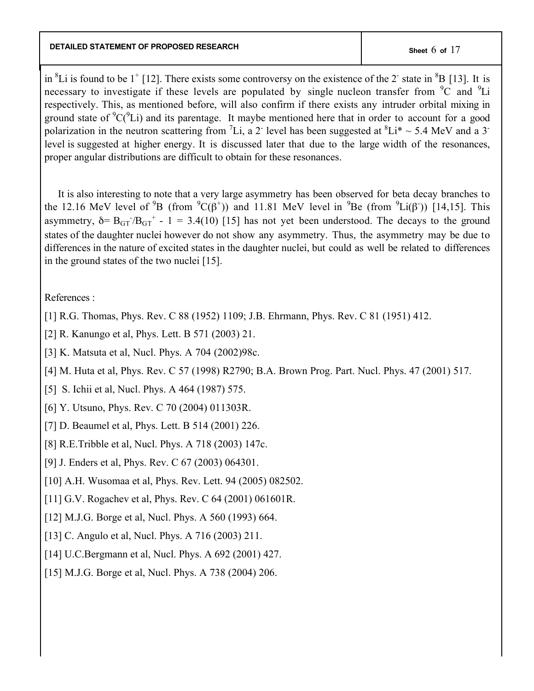in  ${}^{8}$ Li is found to be 1<sup>+</sup> [12]. There exists some controversy on the existence of the 2<sup>-</sup> state in  ${}^{8}B$  [13]. It is necessary to investigate if these levels are populated by single nucleon transfer from  ${}^{9}C$  and  ${}^{9}Li$ respectively. This, as mentioned before, will also confirm if there exists any intruder orbital mixing in ground state of  ${}^{9}C(^{9}Li)$  and its parentage. It maybe mentioned here that in order to account for a good polarization in the neutron scattering from <sup>7</sup>Li, a 2<sup>-</sup> level has been suggested at  ${}^{8}Li^{*} \sim 5.4$  MeV and a 3<sup>-</sup> level is suggested at higher energy. It is discussed later that due to the large width of the resonances, proper angular distributions are difficult to obtain for these resonances.

 It is also interesting to note that a very large asymmetry has been observed for beta decay branches to the 12.16 MeV level of <sup>9</sup>B (from  ${}^{9}C(\beta^+)$ ) and 11.81 MeV level in <sup>9</sup>Be (from  ${}^{9}Li(\beta^+)$ ) [14,15]. This asymmetry,  $\delta = B_{GT}/B_{GT}^+ - 1 = 3.4(10)$  [15] has not yet been understood. The decays to the ground states of the daughter nuclei however do not show any asymmetry. Thus, the asymmetry may be due to differences in the nature of excited states in the daughter nuclei, but could as well be related to differences in the ground states of the two nuclei [15].

# References :

- [1] R.G. Thomas, Phys. Rev. C 88 (1952) 1109; J.B. Ehrmann, Phys. Rev. C 81 (1951) 412.
- [2] R. Kanungo et al, Phys. Lett. B 571 (2003) 21.
- [3] K. Matsuta et al, Nucl. Phys. A 704 (2002)98c.
- [4] M. Huta et al, Phys. Rev. C 57 (1998) R2790; B.A. Brown Prog. Part. Nucl. Phys. 47 (2001) 517.
- [5] S. Ichii et al, Nucl. Phys. A 464 (1987) 575.
- [6] Y. Utsuno, Phys. Rev. C 70 (2004) 011303R.
- [7] D. Beaumel et al, *Phys. Lett. B* 514 (2001) 226.
- [8] R.E.Tribble et al, Nucl. Phys. A 718 (2003) 147c.
- [9] J. Enders et al, Phys. Rev. C 67 (2003) 064301.
- [10] A.H. Wusomaa et al, Phys. Rev. Lett. 94 (2005) 082502.
- [11] G.V. Rogachev et al, Phys. Rev. C 64 (2001) 061601R.
- [12] M.J.G. Borge et al, Nucl. Phys. A 560 (1993) 664.
- [13] C. Angulo et al, Nucl. Phys. A 716 (2003) 211.
- [14] U.C.Bergmann et al, Nucl. Phys. A 692 (2001) 427.
- [15] M.J.G. Borge et al, Nucl. Phys. A 738 (2004) 206.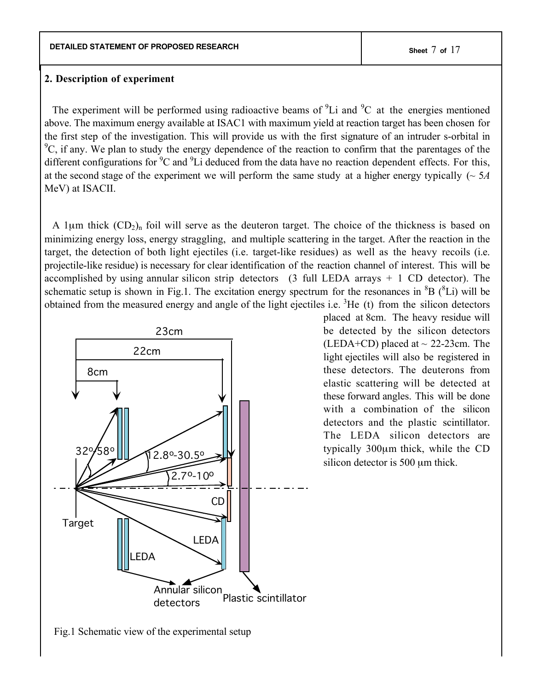#### **2. Description of experiment**

The experiment will be performed using radioactive beams of  ${}^{9}Li$  and  ${}^{9}C$  at the energies mentioned above. The maximum energy available at ISAC1 with maximum yield at reaction target has been chosen for the first step of the investigation. This will provide us with the first signature of an intruder s-orbital in  ${}^{9}C$ , if any. We plan to study the energy dependence of the reaction to confirm that the parentages of the different configurations for  ${}^{9}C$  and  ${}^{9}Li$  deduced from the data have no reaction dependent effects. For this, at the second stage of the experiment we will perform the same study at a higher energy typically (~ 5*A* MeV) at ISACII.

A 1 $\mu$ m thick  $(CD_2)$ <sub>n</sub> foil will serve as the deuteron target. The choice of the thickness is based on minimizing energy loss, energy straggling, and multiple scattering in the target. After the reaction in the target, the detection of both light ejectiles (i.e. target-like residues) as well as the heavy recoils (i.e. projectile-like residue) is necessary for clear identification of the reaction channel of interest. This will be accomplished by using annular silicon strip detectors (3 full LEDA arrays + 1 CD detector). The schematic setup is shown in Fig.1. The excitation energy spectrum for the resonances in  ${}^{8}B$  ( ${}^{8}Li$ ) will be obtained from the measured energy and angle of the light ejectiles i.e.  ${}^{3}$ He (t) from the silicon detectors



placed at 8cm. The heavy residue will be detected by the silicon detectors (LEDA+CD) placed at  $\sim$  22-23cm. The light ejectiles will also be registered in these detectors. The deuterons from elastic scattering will be detected at these forward angles. This will be done with a combination of the silicon detectors and the plastic scintillator. The LEDA silicon detectors are typically 300µm thick, while the CD silicon detector is 500  $\mu$ m thick.

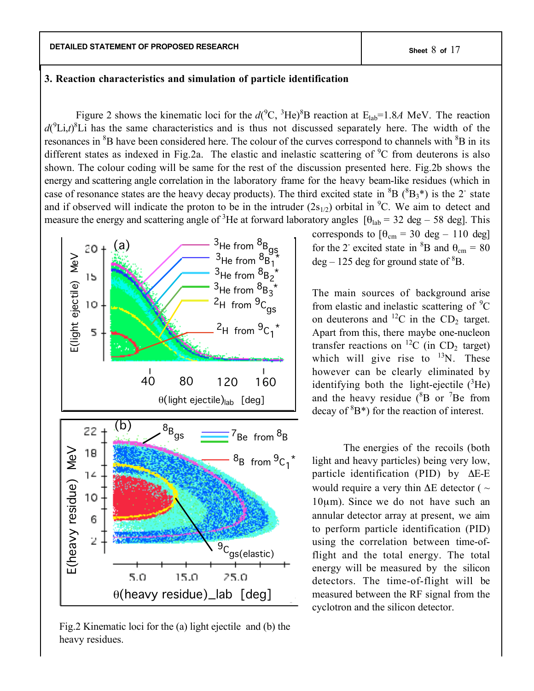## **3. Reaction characteristics and simulation of particle identification**

Figure 2 shows the kinematic loci for the  $d(^{9}C, {}^{3}He)^{8}B$  reaction at  $E_{lab} = 1.8A$  MeV. The reaction  $d(^{9}Li, t)^{8}Li$  has the same characteristics and is thus not discussed separately here. The width of the resonances in <sup>8</sup>B have been considered here. The colour of the curves correspond to channels with <sup>8</sup>B in its different states as indexed in Fig.2a. The elastic and inelastic scattering of  $^9C$  from deuterons is also shown. The colour coding will be same for the rest of the discussion presented here. Fig.2b shows the energy and scattering angle correlation in the laboratory frame for the heavy beam-like residues (which in case of resonance states are the heavy decay products). The third excited state in  ${}^{8}B$  ( ${}^{8}B_3$ <sup>\*</sup>) is the 2<sup>-</sup> state and if observed will indicate the proton to be in the intruder  $(2s_{1/2})$  orbital in  ${}^{9}C$ . We aim to detect and measure the energy and scattering angle of <sup>3</sup>He at forward laboratory angles  $[\theta_{lab} = 32 \text{ deg} - 58 \text{ deg}]$ . This



Fig.2 Kinematic loci for the (a) light ejectile and (b) the heavy residues.

corresponds to  $[\theta_{cm} = 30 \text{ deg} - 110 \text{ deg}]$ for the 2<sup>-</sup> excited state in <sup>8</sup>B and  $\theta_{cm} = 80$  $deg - 125$  deg for ground state of  ${}^{8}B$ .

The main sources of background arise from elastic and inelastic scattering of  ${}^{9}C$ on deuterons and  ${}^{12}C$  in the CD<sub>2</sub> target. Apart from this, there maybe one-nucleon transfer reactions on  ${}^{12}C$  (in CD<sub>2</sub> target) which will give rise to  $^{13}$ N. These however can be clearly eliminated by identifying both the light-ejectile  $(^{3}$ He) and the heavy residue  $(^{8}B)$  or <sup>7</sup>Be from decay of  ${}^{8}B^*$ ) for the reaction of interest.

The energies of the recoils (both light and heavy particles) being very low, particle identification (PID) by ΔE-E would require a very thin  $\Delta E$  detector (  $\sim$ 10µm). Since we do not have such an annular detector array at present, we aim to perform particle identification (PID) using the correlation between time-offlight and the total energy. The total energy will be measured by the silicon detectors. The time-of-flight will be measured between the RF signal from the cyclotron and the silicon detector.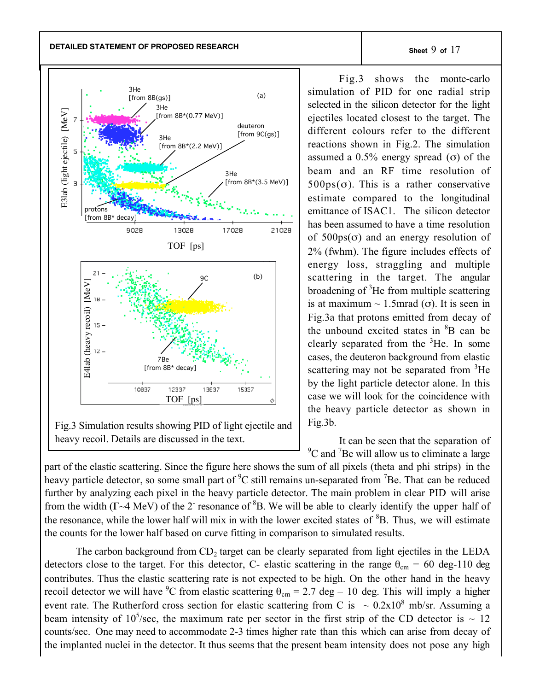**DETAILED STATEMENT OF PROPOSED RESEARCH Sheet** 9 **of** 17



Fig.3 Simulation results showing PID of light ejectile and heavy recoil. Details are discussed in the text.

Fig.3 shows the monte-carlo simulation of PID for one radial strip selected in the silicon detector for the light ejectiles located closest to the target. The different colours refer to the different reactions shown in Fig.2. The simulation assumed a  $0.5\%$  energy spread (σ) of the beam and an RF time resolution of  $500ps(\sigma)$ . This is a rather conservative estimate compared to the longitudinal emittance of ISAC1. The silicon detector has been assumed to have a time resolution of  $500ps(\sigma)$  and an energy resolution of 2% (fwhm). The figure includes effects of energy loss, straggling and multiple scattering in the target. The angular broadening of <sup>3</sup>He from multiple scattering is at maximum  $\sim$  1.5mrad (σ). It is seen in Fig.3a that protons emitted from decay of the unbound excited states in <sup>8</sup>B can be clearly separated from the  ${}^{3}$ He. In some cases, the deuteron background from elastic scattering may not be separated from <sup>3</sup>He by the light particle detector alone. In this case we will look for the coincidence with the heavy particle detector as shown in Fig.3b.

It can be seen that the separation of <sup>9</sup>C and <sup>7</sup>Be will allow us to eliminate a large

part of the elastic scattering. Since the figure here shows the sum of all pixels (theta and phi strips) in the heavy particle detector, so some small part of <sup>9</sup>C still remains un-separated from <sup>7</sup>Be. That can be reduced further by analyzing each pixel in the heavy particle detector. The main problem in clear PID will arise from the width ( $\Gamma \sim 4$  MeV) of the 2<sup>-</sup> resonance of  ${}^{8}B$ . We will be able to clearly identify the upper half of the resonance, while the lower half will mix in with the lower excited states of <sup>8</sup>B. Thus, we will estimate the counts for the lower half based on curve fitting in comparison to simulated results.

The carbon background from  $CD_2$  target can be clearly separated from light ejectiles in the LEDA detectors close to the target. For this detector, C- elastic scattering in the range  $\theta_{cm} = 60$  deg-110 deg contributes. Thus the elastic scattering rate is not expected to be high. On the other hand in the heavy recoil detector we will have <sup>9</sup>C from elastic scattering  $\theta_{cm} = 2.7$  deg – 10 deg. This will imply a higher event rate. The Rutherford cross section for elastic scattering from C is  $\sim 0.2x10^8$  mb/sr. Assuming a beam intensity of 10<sup>5</sup>/sec, the maximum rate per sector in the first strip of the CD detector is  $\sim 12$ counts/sec. One may need to accommodate 2-3 times higher rate than this which can arise from decay of the implanted nuclei in the detector. It thus seems that the present beam intensity does not pose any high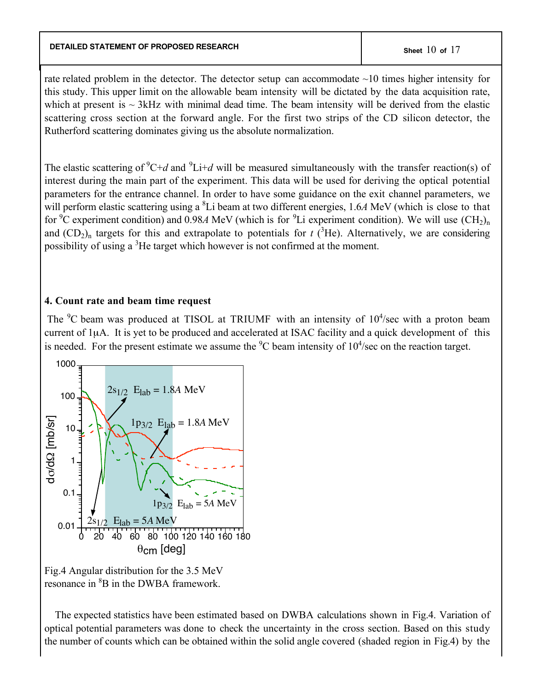## **DETAILED STATEMENT OF PROPOSED RESEARCH Sheet** 10 **of** 17

rate related problem in the detector. The detector setup can accommodate ~10 times higher intensity for this study. This upper limit on the allowable beam intensity will be dictated by the data acquisition rate, which at present is  $\sim$  3kHz with minimal dead time. The beam intensity will be derived from the elastic scattering cross section at the forward angle. For the first two strips of the CD silicon detector, the Rutherford scattering dominates giving us the absolute normalization.

The elastic scattering of  ${}^{9}C+d$  and  ${}^{9}Li+d$  will be measured simultaneously with the transfer reaction(s) of interest during the main part of the experiment. This data will be used for deriving the optical potential parameters for the entrance channel. In order to have some guidance on the exit channel parameters, we will perform elastic scattering using a <sup>8</sup>Li beam at two different energies, 1.6*A* MeV (which is close to that for <sup>9</sup>C experiment condition) and 0.98*A* MeV (which is for <sup>9</sup>Li experiment condition). We will use  $(CH_2)_n$ and  $(CD_2)$ <sub>n</sub> targets for this and extrapolate to potentials for  $t$  (<sup>3</sup>He). Alternatively, we are considering possibility of using a  ${}^{3}$ He target which however is not confirmed at the moment.

## **4. Count rate and beam time request**

The  ${}^{9}C$  beam was produced at TISOL at TRIUMF with an intensity of  $10^{4}/sec$  with a proton beam current of 1µA. It is yet to be produced and accelerated at ISAC facility and a quick development of this is needed. For the present estimate we assume the  ${}^{9}C$  beam intensity of  $10^{4}/sec$  on the reaction target.



Fig.4 Angular distribution for the 3.5 MeV resonance in <sup>8</sup>B in the DWBA framework.

 The expected statistics have been estimated based on DWBA calculations shown in Fig.4. Variation of optical potential parameters was done to check the uncertainty in the cross section. Based on this study the number of counts which can be obtained within the solid angle covered (shaded region in Fig.4) by the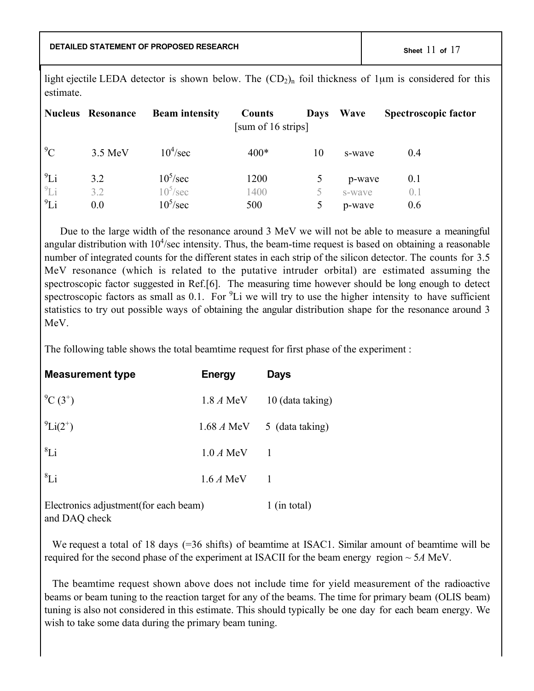**DETAILED STATEMENT OF PROPOSED RESEARCH Sheet** 11 **of** 17

light ejectile LEDA detector is shown below. The  $(CD_2)$ <sub>n</sub> foil thickness of 1µm is considered for this estimate.

|            | <b>Nucleus Resonance</b> | <b>Beam intensity</b> | Counts<br>[sum of 16 strips] | <b>Days</b> | Wave   | <b>Spectroscopic factor</b> |
|------------|--------------------------|-----------------------|------------------------------|-------------|--------|-----------------------------|
| ${}^{9}C$  | 3.5 MeV                  | $10^4$ /sec           | $400*$                       | 10          | s-wave | 0.4                         |
| $^{9}Li$   | 3.2                      | $10^5$ /sec           | 1200                         |             | p-wave | 0.1                         |
| ${}^{9}Li$ | 3.2                      | $10^5/\text{sec}$     | 1400                         |             | s-wave | (0, 1)                      |
| $^{9}Li$   | 0.0                      | $10^5$ /sec           | 500                          | 5           | p-wave | 0.6                         |

Due to the large width of the resonance around 3 MeV we will not be able to measure a meaningful angular distribution with  $10<sup>4</sup>/sec$  intensity. Thus, the beam-time request is based on obtaining a reasonable number of integrated counts for the different states in each strip of the silicon detector. The counts for 3.5 MeV resonance (which is related to the putative intruder orbital) are estimated assuming the spectroscopic factor suggested in Ref.[6]. The measuring time however should be long enough to detect spectroscopic factors as small as 0.1. For  ${}^{9}$ Li we will try to use the higher intensity to have sufficient statistics to try out possible ways of obtaining the angular distribution shape for the resonance around 3 MeV.

The following table shows the total beamtime request for first phase of the experiment :

| <b>Measurement type</b> | <b>Energy</b> | <b>Days</b>      |
|-------------------------|---------------|------------------|
| $^{9}C(3^{+})$          | 1.8 A MeV     | 10 (data taking) |
| $^{9}Li(2^{+})$         | 1.68 A MeV    | 5 (data taking)  |
| ${}^{8}Li$              | $1.0 A$ MeV   |                  |
| ${}^{8}Li$              | $1.6 A$ MeV   |                  |
|                         |               |                  |

Electronics adjustment(for each beam) 1 (in total) and DAQ check

We request a total of 18 days (=36 shifts) of beamtime at ISAC1. Similar amount of beamtime will be required for the second phase of the experiment at ISACII for the beam energy region ~ 5*A* MeV.

The beamtime request shown above does not include time for yield measurement of the radioactive beams or beam tuning to the reaction target for any of the beams. The time for primary beam (OLIS beam) tuning is also not considered in this estimate. This should typically be one day for each beam energy. We wish to take some data during the primary beam tuning.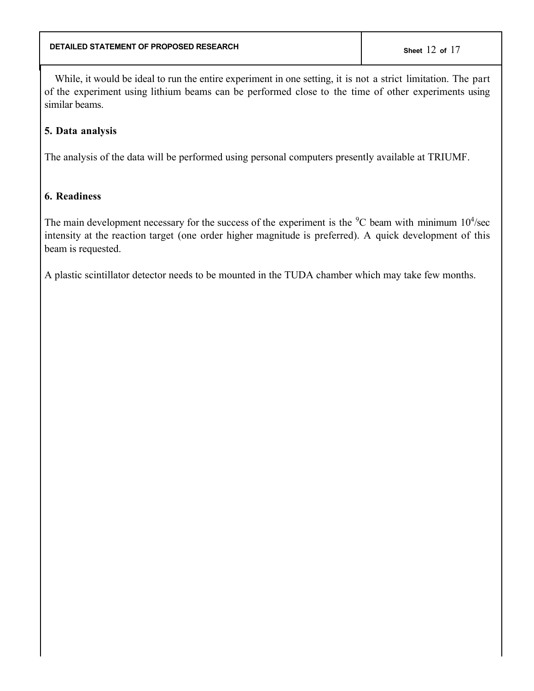While, it would be ideal to run the entire experiment in one setting, it is not a strict limitation. The part of the experiment using lithium beams can be performed close to the time of other experiments using similar beams.

# **5. Data analysis**

The analysis of the data will be performed using personal computers presently available at TRIUMF.

# **6. Readiness**

The main development necessary for the success of the experiment is the  ${}^{9}C$  beam with minimum  $10^{4}/sec$ intensity at the reaction target (one order higher magnitude is preferred). A quick development of this beam is requested.

A plastic scintillator detector needs to be mounted in the TUDA chamber which may take few months.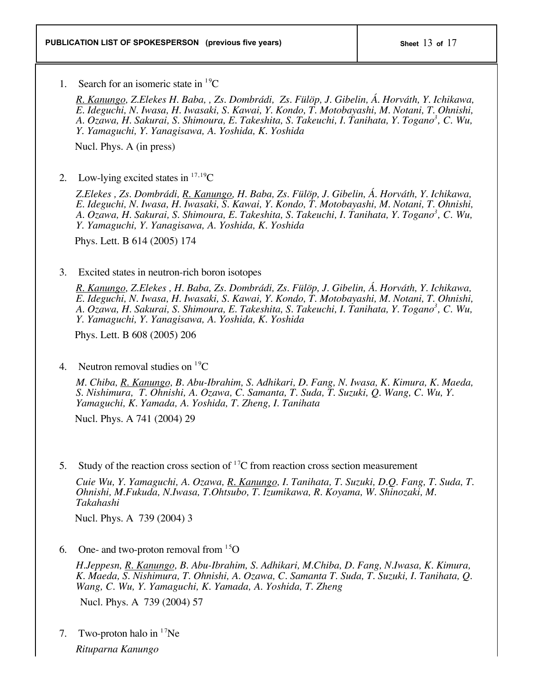1. Search for an isomeric state in  ${}^{19}C$ 

*R. Kanungo, Z.Elekes H. Baba, , Zs. Dombrádi, Zs. Fülöp, J. Gibelin, Á. Horváth, Y. Ichikawa, E. Ideguchi, N. Iwasa, H. Iwasaki, S. Kawai, Y. Kondo, T. Motobayashi, M. Notani, T. Ohnishi, A. Ozawa, H. Sakurai, S. Shimoura, E. Takeshita, S. Takeuchi, I. Tanihata, Y. Togano3 , C. Wu, Y. Yamaguchi, Y. Yanagisawa, A. Yoshida, K. Yoshida*

Nucl. Phys. A (in press)

2. Low-lying excited states in  $17,19$ C

*Z.Elekes , Zs. Dombrádi, R. Kanungo, H. Baba, Zs. Fülöp, J. Gibelin, Á. Horváth, Y. Ichikawa, E. Ideguchi, N. Iwasa, H. Iwasaki, S. Kawai, Y. Kondo, T. Motobayashi, M. Notani, T. Ohnishi, A. Ozawa, H. Sakurai, S. Shimoura, E. Takeshita, S. Takeuchi, I. Tanihata, Y. Togano3 , C. Wu, Y. Yamaguchi, Y. Yanagisawa, A. Yoshida, K. Yoshida*

Phys. Lett. B 614 (2005) 174

## 3. Excited states in neutron-rich boron isotopes

*R. Kanungo, Z.Elekes , H. Baba, Zs. Dombrádi, Zs. Fülöp, J. Gibelin, Á. Horváth, Y. Ichikawa, E. Ideguchi, N. Iwasa, H. Iwasaki, S. Kawai, Y. Kondo, T. Motobayashi, M. Notani, T. Ohnishi, A. Ozawa, H. Sakurai, S. Shimoura, E. Takeshita, S. Takeuchi, I. Tanihata, Y. Togano3 , C. Wu, Y. Yamaguchi, Y. Yanagisawa, A. Yoshida, K. Yoshida*

Phys. Lett. B 608 (2005) 206

4. Neutron removal studies on  ${}^{19}C$ 

*M. Chiba, R. Kanungo, B. Abu-Ibrahim, S. Adhikari, D. Fang, N. Iwasa, K. Kimura, K. Maeda, S. Nishimura, T. Ohnishi, A. Ozawa, C. Samanta, T. Suda, T. Suzuki, Q. Wang, C. Wu, Y. Yamaguchi, K. Yamada, A. Yoshida, T. Zheng, I. Tanihata*

Nucl. Phys. A 741 (2004) 29

5. Study of the reaction cross section of  ${}^{17}C$  from reaction cross section measurement

*Cuie Wu, Y. Yamaguchi, A. Ozawa, R. Kanungo, I. Tanihata, T. Suzuki, D.Q. Fang, T. Suda, T. Ohnishi, M.Fukuda, N.Iwasa, T.Ohtsubo, T. Izumikawa, R. Koyama, W. Shinozaki, M. Takahashi*

Nucl. Phys. A 739 (2004) 3

6. One- and two-proton removal from  $15$ O

*H.Jeppesn, R. Kanungo, B. Abu-Ibrahim, S. Adhikari, M.Chiba, D. Fang, N.Iwasa, K. Kimura, K. Maeda, S. Nishimura, T. Ohnishi, A. Ozawa, C. Samanta T. Suda, T. Suzuki, I. Tanihata, Q. Wang, C. Wu, Y. Yamaguchi, K. Yamada, A. Yoshida, T. Zheng*

Nucl. Phys. A 739 (2004) 57

7. Two-proton halo in  $17$ Ne *Rituparna Kanungo*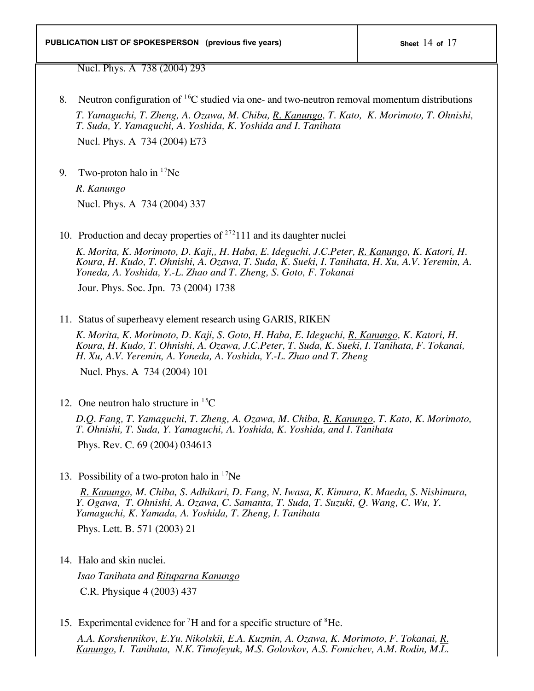Nucl. Phys. A 738 (2004) 293

- 8. Neutron configuration of  ${}^{16}C$  studied via one- and two-neutron removal momentum distributions *T. Yamaguchi, T. Zheng, A. Ozawa, M. Chiba, R. Kanungo, T. Kato, K. Morimoto, T. Ohnishi, T. Suda, Y. Yamaguchi, A. Yoshida, K. Yoshida and I. Tanihata* Nucl. Phys. A 734 (2004) E73
- 9. Two-proton halo in  $17$ Ne

*R. Kanungo* Nucl. Phys. A 734 (2004) 337

10. Production and decay properties of  $^{272}$ 111 and its daughter nuclei

*K. Morita, K. Morimoto, D. Kaji,, H. Haba, E. Ideguchi, J.C.Peter, R. Kanungo, K. Katori, H. Koura, H. Kudo, T. Ohnishi, A. Ozawa, T. Suda, K. Sueki, I. Tanihata, H. Xu, A.V. Yeremin, A. Yoneda, A. Yoshida, Y.-L. Zhao and T. Zheng, S. Goto, F. Tokanai*

Jour. Phys. Soc. Jpn. 73 (2004) 1738

11. Status of superheavy element research using GARIS, RIKEN

*K. Morita, K. Morimoto, D. Kaji, S. Goto, H. Haba, E. Ideguchi, R. Kanungo, K. Katori, H. Koura, H. Kudo, T. Ohnishi, A. Ozawa, J.C.Peter, T. Suda, K. Sueki, I. Tanihata, F. Tokanai, H. Xu, A.V. Yeremin, A. Yoneda, A. Yoshida, Y.-L. Zhao and T. Zheng*

Nucl. Phys. A 734 (2004) 101

12. One neutron halo structure in  ${}^{15}C$ 

*D.Q. Fang, T. Yamaguchi, T. Zheng, A. Ozawa, M. Chiba, R. Kanungo, T. Kato, K. Morimoto, T. Ohnishi, T. Suda, Y. Yamaguchi, A. Yoshida, K. Yoshida, and I. Tanihata*

Phys. Rev. C. 69 (2004) 034613

13. Possibility of a two-proton halo in  $17$ Ne

 *R. Kanungo, M. Chiba, S. Adhikari, D. Fang, N. Iwasa, K. Kimura, K. Maeda, S. Nishimura, Y. Ogawa, T. Ohnishi, A. Ozawa, C. Samanta, T. Suda, T. Suzuki, Q. Wang, C. Wu, Y. Yamaguchi, K. Yamada, A. Yoshida, T. Zheng, I. Tanihata* Phys. Lett. B. 571 (2003) 21

14. Halo and skin nuclei.

 *Isao Tanihata and Rituparna Kanungo* C.R. Physique 4 (2003) 437

15. Experimental evidence for  ${}^{7}H$  and for a specific structure of  ${}^{8}He$ .

 *A.A. Korshennikov, E.Yu. Nikolskii, E.A. Kuzmin, A. Ozawa, K. Morimoto, F. Tokanai, R. Kanungo, I. Tanihata, N.K. Timofeyuk, M.S. Golovkov, A.S. Fomichev, A.M. Rodin, M.L.*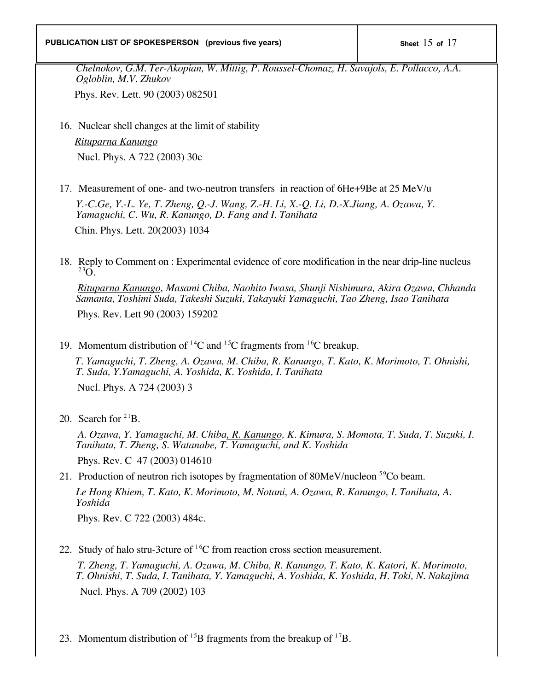#### **PUBLICATION LIST OF SPOKESPERSON** (previous five years)  $\vert$  sheet 15 of 17

*Chelnokov, G.M. Ter-Akopian, W. Mittig, P. Roussel-Chomaz, H. Savajols, E. Pollacco, A.A. Ogloblin, M.V. Zhukov*

Phys. Rev. Lett. 90 (2003) 082501

16. Nuclear shell changes at the limit of stability

 *Rituparna Kanungo* Nucl. Phys. A 722 (2003) 30c

17. Measurement of one- and two-neutron transfers in reaction of 6He+9Be at 25 MeV/u

*Y.-C.Ge, Y.-L. Ye, T. Zheng, Q.-J. Wang, Z.-H. Li, X.-Q. Li, D.-X.Jiang, A. Ozawa, Y. Yamaguchi, C. Wu, R. Kanungo, D. Fang and I. Tanihata* Chin. Phys. Lett. 20(2003) 1034

18. Reply to Comment on : Experimental evidence of core modification in the near drip-line nucleus <sup>23</sup>O

 *Rituparna Kanungo, Masami Chiba, Naohito Iwasa, Shunji Nishimura, Akira Ozawa, Chhanda Samanta, Toshimi Suda, Takeshi Suzuki, Takayuki Yamaguchi, Tao Zheng, Isao Tanihata*

Phys. Rev. Lett 90 (2003) 159202

19. Momentum distribution of <sup>14</sup>C and <sup>15</sup>C fragments from <sup>16</sup>C breakup.

 *T. Yamaguchi, T. Zheng, A. Ozawa, M. Chiba, R. Kanungo, T. Kato, K. Morimoto, T. Ohnishi, T. Suda, Y.Yamaguchi, A. Yoshida, K. Yoshida, I. Tanihata*

Nucl. Phys. A 724 (2003) 3

20. Search for  $2^{1}B$ .

 *A. Ozawa, Y. Yamaguchi, M. Chiba, R. Kanungo, K. Kimura, S. Momota, T. Suda, T. Suzuki, I. Tanihata, T. Zheng, S. Watanabe, T. Yamaguchi, and K. Yoshida*

Phys. Rev. C 47 (2003) 014610

21. Production of neutron rich isotopes by fragmentation of  $80MeV/nucleon$ <sup>59</sup>Co beam.

*Le Hong Khiem, T. Kato, K. Morimoto, M. Notani, A. Ozawa, R. Kanungo, I. Tanihata, A. Yoshida*

Phys. Rev. C 722 (2003) 484c.

22. Study of halo stru-3cture of  ${}^{16}C$  from reaction cross section measurement.

 *T. Zheng, T. Yamaguchi, A. Ozawa, M. Chiba, R. Kanungo, T. Kato, K. Katori, K. Morimoto, T. Ohnishi, T. Suda, I. Tanihata, Y. Yamaguchi, A. Yoshida, K. Yoshida, H. Toki, N. Nakajima* Nucl. Phys. A 709 (2002) 103

23. Momentum distribution of  $^{15}B$  fragments from the breakup of  $^{17}B$ .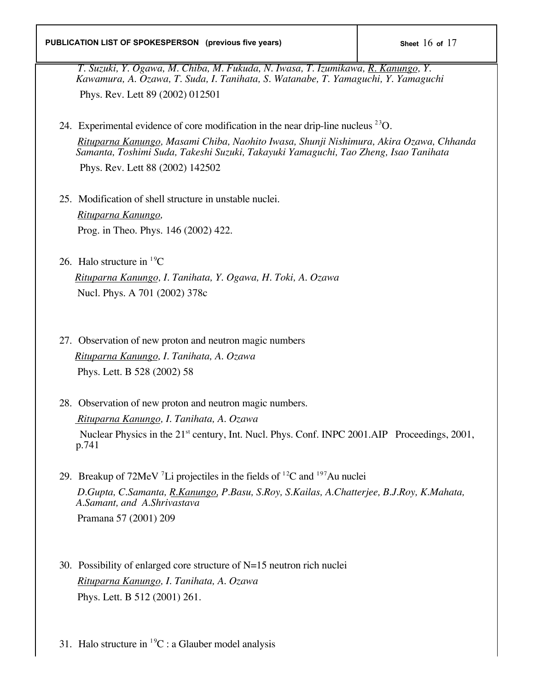*T. Suzuki, Y. Ogawa, M. Chiba, M. Fukuda, N. Iwasa, T. Izumikawa, R. Kanungo, Y. Kawamura, A. Ozawa, T. Suda, I. Tanihata, S. Watanabe, T. Yamaguchi, Y. Yamaguchi* Phys. Rev. Lett 89 (2002) 012501

24. Experimental evidence of core modification in the near drip-line nucleus  $^{23}O$ .  *Rituparna Kanungo, Masami Chiba, Naohito Iwasa, Shunji Nishimura, Akira Ozawa, Chhanda Samanta, Toshimi Suda, Takeshi Suzuki, Takayuki Yamaguchi, Tao Zheng, Isao Tanihata*

Phys. Rev. Lett 88 (2002) 142502

- 25. Modification of shell structure in unstable nuclei.  *Rituparna Kanungo,* Prog. in Theo. Phys. 146 (2002) 422.
- 26. Halo structure in  ${}^{19}C$

 *Rituparna Kanungo, I. Tanihata, Y. Ogawa, H. Toki, A. Ozawa* Nucl. Phys. A 701 (2002) 378c

- 27. Observation of new proton and neutron magic numbers  *Rituparna Kanungo, I. Tanihata, A. Ozawa* Phys. Lett. B 528 (2002) 58
- 28. Observation of new proton and neutron magic numbers.  *Rituparna Kanungo, I. Tanihata, A. Ozawa* Nuclear Physics in the 21<sup>st</sup> century, Int. Nucl. Phys. Conf. INPC 2001.AIP Proceedings, 2001, p.741
- 29. Breakup of  $72$ MeV  $^7$ Li projectiles in the fields of  $^{12}$ C and  $^{197}$ Au nuclei  *D.Gupta, C.Samanta, R.Kanungo, P.Basu, S.Roy, S.Kailas, A.Chatterjee, B.J.Roy, K.Mahata, A.Samant, and A.Shrivastava* Pramana 57 (2001) 209
- 30. Possibility of enlarged core structure of N=15 neutron rich nuclei *Rituparna Kanungo, I. Tanihata, A. Ozawa* Phys. Lett. B 512 (2001) 261.
- 31. Halo structure in  ${}^{19}C$  : a Glauber model analysis